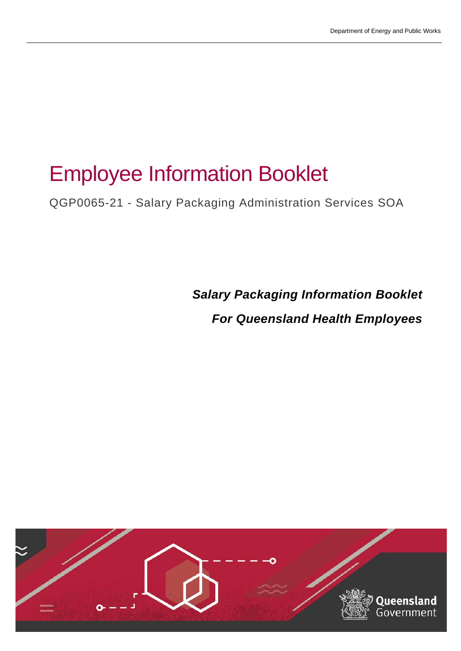# Employee Information Booklet

QGP0065-21 - Salary Packaging Administration Services SOA

*Salary Packaging Information Booklet For Queensland Health Employees*

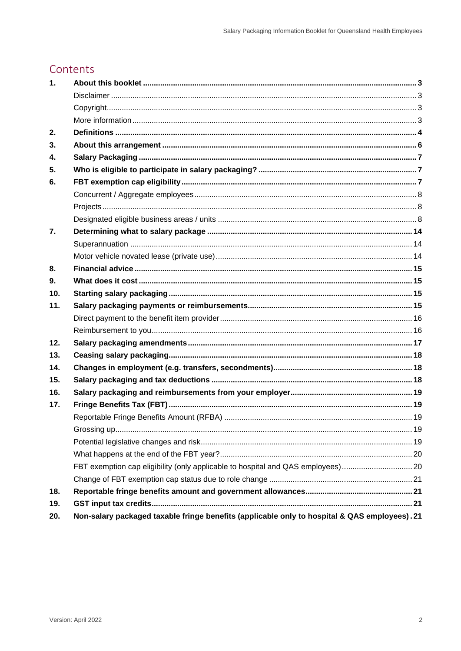### Contents

| 1.               |                                                                                               |  |
|------------------|-----------------------------------------------------------------------------------------------|--|
|                  |                                                                                               |  |
|                  |                                                                                               |  |
|                  |                                                                                               |  |
| 2.               |                                                                                               |  |
| 3.               |                                                                                               |  |
| 4.               |                                                                                               |  |
| 5.               |                                                                                               |  |
| 6.               |                                                                                               |  |
|                  |                                                                                               |  |
|                  |                                                                                               |  |
|                  |                                                                                               |  |
| $\overline{7}$ . |                                                                                               |  |
|                  |                                                                                               |  |
|                  |                                                                                               |  |
| 8.               |                                                                                               |  |
| 9.               |                                                                                               |  |
| 10 <sub>1</sub>  |                                                                                               |  |
| 11.              |                                                                                               |  |
|                  |                                                                                               |  |
|                  |                                                                                               |  |
| 12.              |                                                                                               |  |
| 13.              |                                                                                               |  |
| 14.              |                                                                                               |  |
| 15.              |                                                                                               |  |
| 16.              |                                                                                               |  |
| 17.              |                                                                                               |  |
|                  |                                                                                               |  |
|                  |                                                                                               |  |
|                  |                                                                                               |  |
|                  |                                                                                               |  |
|                  | FBT exemption cap eligibility (only applicable to hospital and QAS employees)20               |  |
|                  |                                                                                               |  |
| 18.              |                                                                                               |  |
| 19.              |                                                                                               |  |
| 20.              | Non-salary packaged taxable fringe benefits (applicable only to hospital & QAS employees). 21 |  |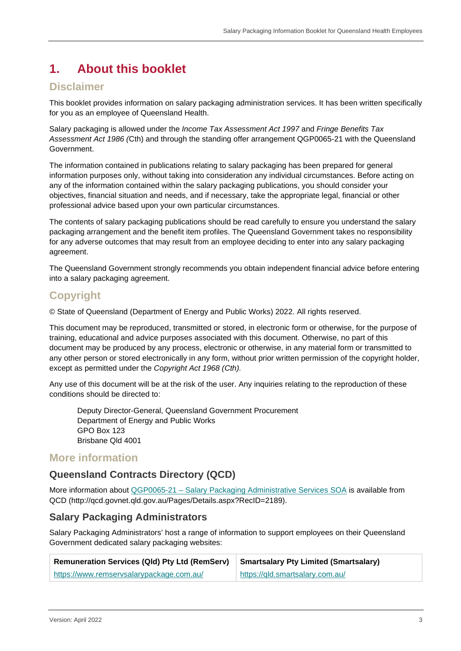## <span id="page-2-0"></span>**1. About this booklet**

#### <span id="page-2-1"></span>**Disclaimer**

This booklet provides information on salary packaging administration services. It has been written specifically for you as an employee of Queensland Health.

Salary packaging is allowed under the *Income Tax Assessment Act 1997* and *Fringe Benefits Tax Assessment Act 1986 (*Cth) and through the standing offer arrangement QGP0065-21 with the Queensland Government.

The information contained in publications relating to salary packaging has been prepared for general information purposes only, without taking into consideration any individual circumstances. Before acting on any of the information contained within the salary packaging publications, you should consider your objectives, financial situation and needs, and if necessary, take the appropriate legal, financial or other professional advice based upon your own particular circumstances.

The contents of salary packaging publications should be read carefully to ensure you understand the salary packaging arrangement and the benefit item profiles. The Queensland Government takes no responsibility for any adverse outcomes that may result from an employee deciding to enter into any salary packaging agreement.

The Queensland Government strongly recommends you obtain independent financial advice before entering into a salary packaging agreement.

### <span id="page-2-2"></span>**Copyright**

© State of Queensland (Department of Energy and Public Works) 2022. All rights reserved.

This document may be reproduced, transmitted or stored, in electronic form or otherwise, for the purpose of training, educational and advice purposes associated with this document. Otherwise, no part of this document may be produced by any process, electronic or otherwise, in any material form or transmitted to any other person or stored electronically in any form, without prior written permission of the copyright holder, except as permitted under the *Copyright Act 1968 (Cth).*

Any use of this document will be at the risk of the user. Any inquiries relating to the reproduction of these conditions should be directed to:

Deputy Director-General, Queensland Government Procurement Department of Energy and Public Works GPO Box 123 Brisbane Qld 4001

#### <span id="page-2-3"></span>**More information**

#### **Queensland Contracts Directory (QCD)**

More information about QGP0065-21 – [Salary Packaging Administrative Services SOA](http://qcd.govnet.qld.gov.au/Pages/Details.aspx?RecID=2189) is available from QCD (http://qcd.govnet.qld.gov.au/Pages/Details.aspx?RecID=2189).

#### <span id="page-2-4"></span>**Salary Packaging Administrators**

Salary Packaging Administrators' host a range of information to support employees on their Queensland Government dedicated salary packaging websites:

| Remuneration Services (Qld) Pty Ltd (RemServ) Smartsalary Pty Limited (Smartsalary) |                                 |
|-------------------------------------------------------------------------------------|---------------------------------|
| https://www.remservsalarypackage.com.au/                                            | https://qld.smartsalary.com.au/ |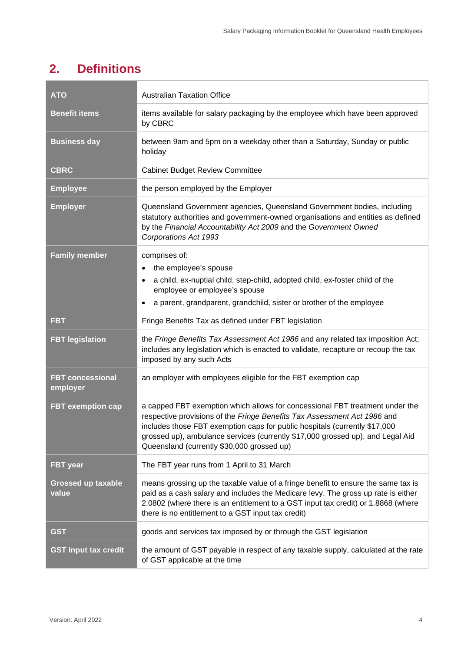# <span id="page-3-0"></span>**2. Definitions**

| <b>ATO</b>                          | <b>Australian Taxation Office</b>                                                                                                                                                                                                                                                                                                                                      |  |  |
|-------------------------------------|------------------------------------------------------------------------------------------------------------------------------------------------------------------------------------------------------------------------------------------------------------------------------------------------------------------------------------------------------------------------|--|--|
| <b>Benefit items</b>                | items available for salary packaging by the employee which have been approved<br>by CBRC                                                                                                                                                                                                                                                                               |  |  |
| <b>Business day</b>                 | between 9am and 5pm on a weekday other than a Saturday, Sunday or public<br>holiday                                                                                                                                                                                                                                                                                    |  |  |
| <b>CBRC</b>                         | <b>Cabinet Budget Review Committee</b>                                                                                                                                                                                                                                                                                                                                 |  |  |
| <b>Employee</b>                     | the person employed by the Employer                                                                                                                                                                                                                                                                                                                                    |  |  |
| <b>Employer</b>                     | Queensland Government agencies, Queensland Government bodies, including<br>statutory authorities and government-owned organisations and entities as defined<br>by the Financial Accountability Act 2009 and the Government Owned<br>Corporations Act 1993                                                                                                              |  |  |
| <b>Family member</b>                | comprises of:<br>the employee's spouse<br>$\bullet$<br>a child, ex-nuptial child, step-child, adopted child, ex-foster child of the<br>employee or employee's spouse<br>a parent, grandparent, grandchild, sister or brother of the employee                                                                                                                           |  |  |
| <b>FBT</b>                          | Fringe Benefits Tax as defined under FBT legislation                                                                                                                                                                                                                                                                                                                   |  |  |
| <b>FBT legislation</b>              | the Fringe Benefits Tax Assessment Act 1986 and any related tax imposition Act;<br>includes any legislation which is enacted to validate, recapture or recoup the tax<br>imposed by any such Acts                                                                                                                                                                      |  |  |
| <b>FBT concessional</b><br>employer | an employer with employees eligible for the FBT exemption cap                                                                                                                                                                                                                                                                                                          |  |  |
| <b>FBT exemption cap</b>            | a capped FBT exemption which allows for concessional FBT treatment under the<br>respective provisions of the Fringe Benefits Tax Assessment Act 1986 and<br>includes those FBT exemption caps for public hospitals (currently \$17,000<br>grossed up), ambulance services (currently \$17,000 grossed up), and Legal Aid<br>Queensland (currently \$30,000 grossed up) |  |  |
| <b>FBT</b> year                     | The FBT year runs from 1 April to 31 March                                                                                                                                                                                                                                                                                                                             |  |  |
| <b>Grossed up taxable</b><br>value  | means grossing up the taxable value of a fringe benefit to ensure the same tax is<br>paid as a cash salary and includes the Medicare levy. The gross up rate is either<br>2.0802 (where there is an entitlement to a GST input tax credit) or 1.8868 (where<br>there is no entitlement to a GST input tax credit)                                                      |  |  |
| <b>GST</b>                          | goods and services tax imposed by or through the GST legislation                                                                                                                                                                                                                                                                                                       |  |  |
| <b>GST input tax credit</b>         | the amount of GST payable in respect of any taxable supply, calculated at the rate<br>of GST applicable at the time                                                                                                                                                                                                                                                    |  |  |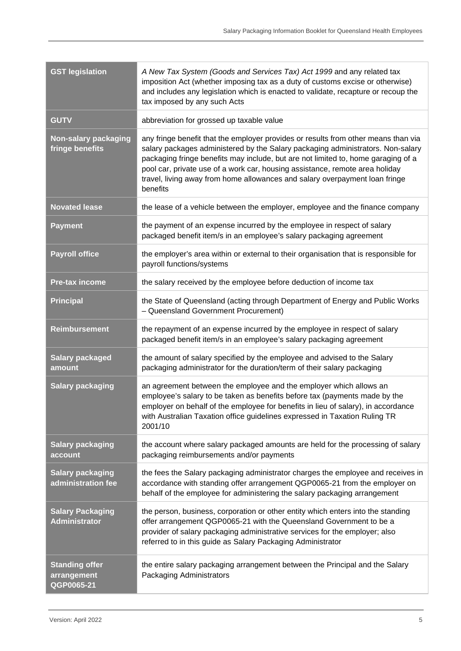| <b>GST legislation</b>                             | A New Tax System (Goods and Services Tax) Act 1999 and any related tax<br>imposition Act (whether imposing tax as a duty of customs excise or otherwise)<br>and includes any legislation which is enacted to validate, recapture or recoup the<br>tax imposed by any such Acts                                                                                                                                                        |  |  |
|----------------------------------------------------|---------------------------------------------------------------------------------------------------------------------------------------------------------------------------------------------------------------------------------------------------------------------------------------------------------------------------------------------------------------------------------------------------------------------------------------|--|--|
| <b>GUTV</b>                                        | abbreviation for grossed up taxable value                                                                                                                                                                                                                                                                                                                                                                                             |  |  |
| <b>Non-salary packaging</b><br>fringe benefits     | any fringe benefit that the employer provides or results from other means than via<br>salary packages administered by the Salary packaging administrators. Non-salary<br>packaging fringe benefits may include, but are not limited to, home garaging of a<br>pool car, private use of a work car, housing assistance, remote area holiday<br>travel, living away from home allowances and salary overpayment loan fringe<br>benefits |  |  |
| <b>Novated lease</b>                               | the lease of a vehicle between the employer, employee and the finance company                                                                                                                                                                                                                                                                                                                                                         |  |  |
| <b>Payment</b>                                     | the payment of an expense incurred by the employee in respect of salary<br>packaged benefit item/s in an employee's salary packaging agreement                                                                                                                                                                                                                                                                                        |  |  |
| <b>Payroll office</b>                              | the employer's area within or external to their organisation that is responsible for<br>payroll functions/systems                                                                                                                                                                                                                                                                                                                     |  |  |
| <b>Pre-tax income</b>                              | the salary received by the employee before deduction of income tax                                                                                                                                                                                                                                                                                                                                                                    |  |  |
| <b>Principal</b>                                   | the State of Queensland (acting through Department of Energy and Public Works<br>- Queensland Government Procurement)                                                                                                                                                                                                                                                                                                                 |  |  |
| <b>Reimbursement</b>                               | the repayment of an expense incurred by the employee in respect of salary<br>packaged benefit item/s in an employee's salary packaging agreement                                                                                                                                                                                                                                                                                      |  |  |
| <b>Salary packaged</b><br>amount                   | the amount of salary specified by the employee and advised to the Salary<br>packaging administrator for the duration/term of their salary packaging                                                                                                                                                                                                                                                                                   |  |  |
| <b>Salary packaging</b>                            | an agreement between the employee and the employer which allows an<br>employee's salary to be taken as benefits before tax (payments made by the<br>employer on behalf of the employee for benefits in lieu of salary), in accordance<br>with Australian Taxation office guidelines expressed in Taxation Ruling TR<br>2001/10                                                                                                        |  |  |
| <b>Salary packaging</b><br>account                 | the account where salary packaged amounts are held for the processing of salary<br>packaging reimbursements and/or payments                                                                                                                                                                                                                                                                                                           |  |  |
| <b>Salary packaging</b><br>administration fee      | the fees the Salary packaging administrator charges the employee and receives in<br>accordance with standing offer arrangement QGP0065-21 from the employer on<br>behalf of the employee for administering the salary packaging arrangement                                                                                                                                                                                           |  |  |
| <b>Salary Packaging</b><br><b>Administrator</b>    | the person, business, corporation or other entity which enters into the standing<br>offer arrangement QGP0065-21 with the Queensland Government to be a<br>provider of salary packaging administrative services for the employer; also<br>referred to in this guide as Salary Packaging Administrator                                                                                                                                 |  |  |
| <b>Standing offer</b><br>arrangement<br>QGP0065-21 | the entire salary packaging arrangement between the Principal and the Salary<br>Packaging Administrators                                                                                                                                                                                                                                                                                                                              |  |  |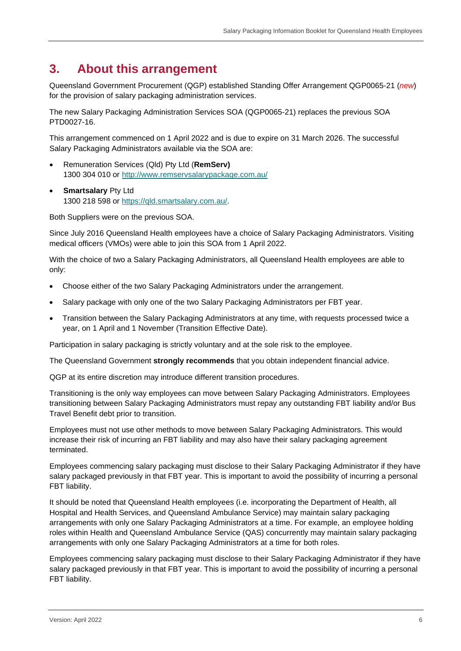### <span id="page-5-0"></span>**3. About this arrangement**

Queensland Government Procurement (QGP) established Standing Offer Arrangement QGP0065-21 (*new*) for the provision of salary packaging administration services.

The new Salary Packaging Administration Services SOA (QGP0065-21) replaces the previous SOA PTD0027-16.

This arrangement commenced on 1 April 2022 and is due to expire on 31 March 2026. The successful Salary Packaging Administrators available via the SOA are:

- Remuneration Services (Qld) Pty Ltd (**RemServ)** 1300 304 010 or<http://www.remservsalarypackage.com.au/>
- **Smartsalary Pty Ltd** 1300 218 598 or [https://qld.smartsalary.com.au/.](https://qld.smartsalary.com.au/)

Both Suppliers were on the previous SOA.

Since July 2016 Queensland Health employees have a choice of Salary Packaging Administrators. Visiting medical officers (VMOs) were able to join this SOA from 1 April 2022.

With the choice of two a Salary Packaging Administrators, all Queensland Health employees are able to only:

- Choose either of the two Salary Packaging Administrators under the arrangement.
- Salary package with only one of the two Salary Packaging Administrators per FBT year.
- Transition between the Salary Packaging Administrators at any time, with requests processed twice a year, on 1 April and 1 November (Transition Effective Date).

Participation in salary packaging is strictly voluntary and at the sole risk to the employee.

The Queensland Government **strongly recommends** that you obtain independent financial advice.

QGP at its entire discretion may introduce different transition procedures.

Transitioning is the only way employees can move between Salary Packaging Administrators. Employees transitioning between Salary Packaging Administrators must repay any outstanding FBT liability and/or Bus Travel Benefit debt prior to transition.

Employees must not use other methods to move between Salary Packaging Administrators. This would increase their risk of incurring an FBT liability and may also have their salary packaging agreement terminated.

Employees commencing salary packaging must disclose to their Salary Packaging Administrator if they have salary packaged previously in that FBT year. This is important to avoid the possibility of incurring a personal FBT liability.

It should be noted that Queensland Health employees (i.e. incorporating the Department of Health, all Hospital and Health Services, and Queensland Ambulance Service) may maintain salary packaging arrangements with only one Salary Packaging Administrators at a time. For example, an employee holding roles within Health and Queensland Ambulance Service (QAS) concurrently may maintain salary packaging arrangements with only one Salary Packaging Administrators at a time for both roles.

Employees commencing salary packaging must disclose to their Salary Packaging Administrator if they have salary packaged previously in that FBT year. This is important to avoid the possibility of incurring a personal FBT liability.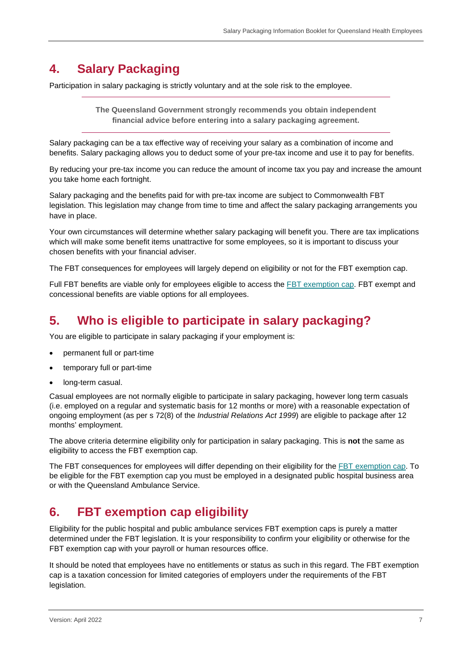### <span id="page-6-0"></span>**4. Salary Packaging**

Participation in salary packaging is strictly voluntary and at the sole risk to the employee.

**The Queensland Government strongly recommends you obtain independent financial advice before entering into a salary packaging agreement.**

Salary packaging can be a tax effective way of receiving your salary as a combination of income and benefits. Salary packaging allows you to deduct some of your pre-tax income and use it to pay for benefits.

By reducing your pre-tax income you can reduce the amount of income tax you pay and increase the amount you take home each fortnight.

Salary packaging and the benefits paid for with pre-tax income are subject to Commonwealth FBT legislation. This legislation may change from time to time and affect the salary packaging arrangements you have in place.

Your own circumstances will determine whether salary packaging will benefit you. There are tax implications which will make some benefit items unattractive for some employees, so it is important to discuss your chosen benefits with your financial adviser.

The FBT consequences for employees will largely depend on eligibility or not for the FBT exemption cap.

Full FBT benefits are viable only for employees eligible to access the [FBT exemption cap.](#page-6-2) FBT exempt and concessional benefits are viable options for all employees.

### <span id="page-6-3"></span><span id="page-6-1"></span>**5. Who is eligible to participate in salary packaging?**

You are eligible to participate in salary packaging if your employment is:

- permanent full or part-time
- temporary full or part-time
- long-term casual.

Casual employees are not normally eligible to participate in salary packaging, however long term casuals (i.e. employed on a regular and systematic basis for 12 months or more) with a reasonable expectation of ongoing employment (as per s 72(8) of the *Industrial Relations Act 1999*) are eligible to package after 12 months' employment.

The above criteria determine eligibility only for participation in salary packaging. This is **not** the same as eligibility to access the FBT exemption cap.

The FBT consequences for employees will differ depending on their eligibility for the [FBT exemption cap.](#page-6-2) To be eligible for the FBT exemption cap you must be employed in a designated public hospital business area or with the Queensland Ambulance Service.

### <span id="page-6-2"></span>**6. FBT exemption cap eligibility**

Eligibility for the public hospital and public ambulance services FBT exemption caps is purely a matter determined under the FBT legislation. It is your responsibility to confirm your eligibility or otherwise for the FBT exemption cap with your payroll or human resources office.

It should be noted that employees have no entitlements or status as such in this regard. The FBT exemption cap is a taxation concession for limited categories of employers under the requirements of the FBT legislation.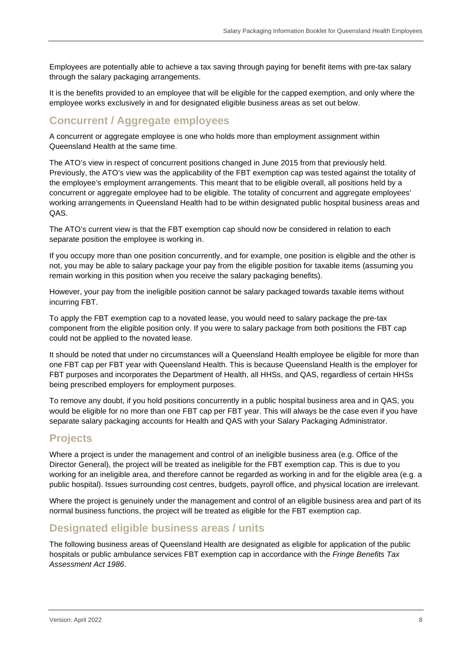Employees are potentially able to achieve a tax saving through paying for benefit items with pre-tax salary through the salary packaging arrangements.

It is the benefits provided to an employee that will be eligible for the capped exemption, and only where the employee works exclusively in and for designated eligible business areas as set out below.

#### <span id="page-7-0"></span>**Concurrent / Aggregate employees**

A concurrent or aggregate employee is one who holds more than employment assignment within Queensland Health at the same time.

The ATO's view in respect of concurrent positions changed in June 2015 from that previously held. Previously, the ATO's view was the applicability of the FBT exemption cap was tested against the totality of the employee's employment arrangements. This meant that to be eligible overall, all positions held by a concurrent or aggregate employee had to be eligible. The totality of concurrent and aggregate employees' working arrangements in Queensland Health had to be within designated public hospital business areas and QAS.

The ATO's current view is that the FBT exemption cap should now be considered in relation to each separate position the employee is working in.

If you occupy more than one position concurrently, and for example, one position is eligible and the other is not, you may be able to salary package your pay from the eligible position for taxable items (assuming you remain working in this position when you receive the salary packaging benefits).

However, your pay from the ineligible position cannot be salary packaged towards taxable items without incurring FBT.

To apply the FBT exemption cap to a novated lease, you would need to salary package the pre-tax component from the eligible position only. If you were to salary package from both positions the FBT cap could not be applied to the novated lease.

It should be noted that under no circumstances will a Queensland Health employee be eligible for more than one FBT cap per FBT year with Queensland Health. This is because Queensland Health is the employer for FBT purposes and incorporates the Department of Health, all HHSs, and QAS, regardless of certain HHSs being prescribed employers for employment purposes.

To remove any doubt, if you hold positions concurrently in a public hospital business area and in QAS, you would be eligible for no more than one FBT cap per FBT year. This will always be the case even if you have separate salary packaging accounts for Health and QAS with your Salary Packaging Administrator.

#### <span id="page-7-1"></span>**Projects**

Where a project is under the management and control of an ineligible business area (e.g. Office of the Director General), the project will be treated as ineligible for the FBT exemption cap. This is due to you working for an ineligible area, and therefore cannot be regarded as working in and for the eligible area (e.g. a public hospital). Issues surrounding cost centres, budgets, payroll office, and physical location are irrelevant.

Where the project is genuinely under the management and control of an eligible business area and part of its normal business functions, the project will be treated as eligible for the FBT exemption cap.

#### <span id="page-7-2"></span>**Designated eligible business areas / units**

The following business areas of Queensland Health are designated as eligible for application of the public hospitals or public ambulance services FBT exemption cap in accordance with the *Fringe Benefits Tax Assessment Act 1986*.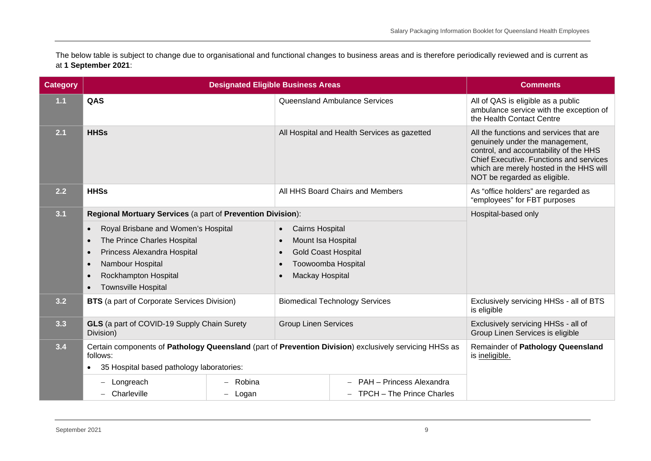The below table is subject to change due to organisational and functional changes to business areas and is therefore periodically reviewed and is current as at **1 September 2021**:

| <b>Category</b> | <b>Designated Eligible Business Areas</b>                                                                          |                                                                                   | <b>Comments</b>                                           |                                                     |                                                                                                                                                                                                                                            |
|-----------------|--------------------------------------------------------------------------------------------------------------------|-----------------------------------------------------------------------------------|-----------------------------------------------------------|-----------------------------------------------------|--------------------------------------------------------------------------------------------------------------------------------------------------------------------------------------------------------------------------------------------|
| 1.1             | QAS                                                                                                                |                                                                                   |                                                           | Queensland Ambulance Services                       | All of QAS is eligible as a public<br>ambulance service with the exception of<br>the Health Contact Centre                                                                                                                                 |
| 2.1             | <b>HHSs</b>                                                                                                        |                                                                                   |                                                           | All Hospital and Health Services as gazetted        | All the functions and services that are<br>genuinely under the management,<br>control, and accountability of the HHS<br>Chief Executive. Functions and services<br>which are merely hosted in the HHS will<br>NOT be regarded as eligible. |
| 2.2             | <b>HHSs</b>                                                                                                        |                                                                                   |                                                           | All HHS Board Chairs and Members                    | As "office holders" are regarded as<br>"employees" for FBT purposes                                                                                                                                                                        |
| 3.1             | Regional Mortuary Services (a part of Prevention Division):                                                        |                                                                                   | Hospital-based only                                       |                                                     |                                                                                                                                                                                                                                            |
|                 | Royal Brisbane and Women's Hospital<br>$\bullet$<br>The Prince Charles Hospital<br>$\bullet$                       |                                                                                   | <b>Cairns Hospital</b><br>$\bullet$<br>Mount Isa Hospital |                                                     |                                                                                                                                                                                                                                            |
|                 | Princess Alexandra Hospital<br>$\bullet$                                                                           |                                                                                   | <b>Gold Coast Hospital</b><br>$\bullet$                   |                                                     |                                                                                                                                                                                                                                            |
|                 | Nambour Hospital<br>$\bullet$                                                                                      |                                                                                   |                                                           | Toowoomba Hospital                                  |                                                                                                                                                                                                                                            |
|                 | Rockhampton Hospital<br>$\bullet$                                                                                  |                                                                                   | <b>Mackay Hospital</b><br>$\bullet$                       |                                                     |                                                                                                                                                                                                                                            |
|                 | <b>Townsville Hospital</b><br>$\bullet$                                                                            |                                                                                   |                                                           |                                                     |                                                                                                                                                                                                                                            |
| 3.2             |                                                                                                                    | <b>BTS</b> (a part of Corporate Services Division)                                |                                                           | <b>Biomedical Technology Services</b>               | Exclusively servicing HHSs - all of BTS<br>is eligible                                                                                                                                                                                     |
| 3.3             | Division)                                                                                                          | <b>GLS</b> (a part of COVID-19 Supply Chain Surety<br><b>Group Linen Services</b> |                                                           |                                                     | Exclusively servicing HHSs - all of<br>Group Linen Services is eligible                                                                                                                                                                    |
| 3.4             | Certain components of Pathology Queensland (part of Prevention Division) exclusively servicing HHSs as<br>follows: |                                                                                   |                                                           | Remainder of Pathology Queensland<br>is ineligible. |                                                                                                                                                                                                                                            |
|                 | 35 Hospital based pathology laboratories:<br>$\bullet$                                                             |                                                                                   |                                                           |                                                     |                                                                                                                                                                                                                                            |
|                 | Longreach                                                                                                          | Robina                                                                            |                                                           | PAH - Princess Alexandra                            |                                                                                                                                                                                                                                            |
|                 | Charleville<br>$\overline{\phantom{0}}$                                                                            | - Logan                                                                           |                                                           | - TPCH - The Prince Charles                         |                                                                                                                                                                                                                                            |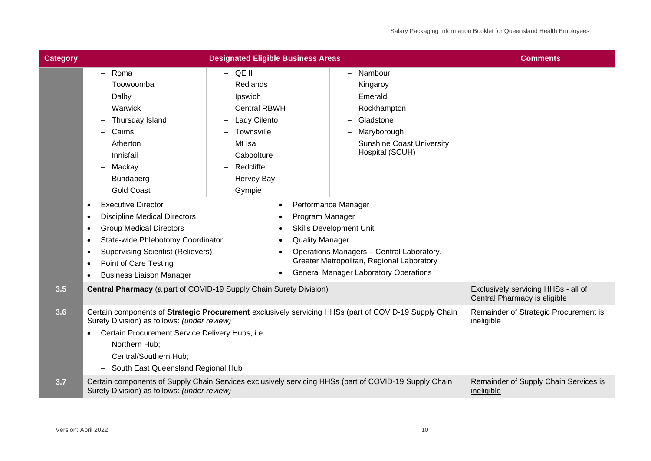| <b>Category</b> |                                                                                                                                                                                                                                                                                                                                                                                                                                        | <b>Designated Eligible Business Areas</b>                                                                                                                                      |                                                                                                            |                                                                                                                                                                                                                                                                                                                                                                 | <b>Comments</b> |
|-----------------|----------------------------------------------------------------------------------------------------------------------------------------------------------------------------------------------------------------------------------------------------------------------------------------------------------------------------------------------------------------------------------------------------------------------------------------|--------------------------------------------------------------------------------------------------------------------------------------------------------------------------------|------------------------------------------------------------------------------------------------------------|-----------------------------------------------------------------------------------------------------------------------------------------------------------------------------------------------------------------------------------------------------------------------------------------------------------------------------------------------------------------|-----------------|
|                 | Roma<br>Toowoomba<br>Dalby<br>Warwick<br>Thursday Island<br>Cairns<br>Atherton<br>Innisfail<br>Mackay<br>Bundaberg<br><b>Gold Coast</b><br><b>Executive Director</b><br>$\bullet$<br><b>Discipline Medical Directors</b><br>$\bullet$<br><b>Group Medical Directors</b><br>٠<br>State-wide Phlebotomy Coordinator<br><b>Supervising Scientist (Relievers)</b><br>Point of Care Testing<br><b>Business Liaison Manager</b><br>$\bullet$ | $-$ QE II<br>Redlands<br>Ipswich<br><b>Central RBWH</b><br>Lady Cilento<br>Townsville<br>Mt Isa<br>Caboolture<br>Redcliffe<br><b>Hervey Bay</b><br>Gympie<br>$\qquad \qquad -$ | $\bullet$<br>Program Manager<br>$\bullet$<br>$\bullet$<br><b>Quality Manager</b><br>$\bullet$<br>$\bullet$ | Nambour<br>$\overline{\phantom{0}}$<br>Kingaroy<br>Emerald<br>Rockhampton<br>Gladstone<br>Maryborough<br><b>Sunshine Coast University</b><br>Hospital (SCUH)<br>Performance Manager<br><b>Skills Development Unit</b><br>Operations Managers - Central Laboratory,<br>Greater Metropolitan, Regional Laboratory<br><b>General Manager Laboratory Operations</b> |                 |
| 3.5             | Central Pharmacy (a part of COVID-19 Supply Chain Surety Division)                                                                                                                                                                                                                                                                                                                                                                     |                                                                                                                                                                                | Exclusively servicing HHSs - all of<br>Central Pharmacy is eligible                                        |                                                                                                                                                                                                                                                                                                                                                                 |                 |
| 3.6             | Certain components of Strategic Procurement exclusively servicing HHSs (part of COVID-19 Supply Chain<br>Surety Division) as follows: (under review)<br>Certain Procurement Service Delivery Hubs, i.e.:<br>Northern Hub:<br>—<br>Central/Southern Hub;<br>- South East Queensland Regional Hub                                                                                                                                        |                                                                                                                                                                                | Remainder of Strategic Procurement is<br>ineligible                                                        |                                                                                                                                                                                                                                                                                                                                                                 |                 |
| 3.7             | Certain components of Supply Chain Services exclusively servicing HHSs (part of COVID-19 Supply Chain<br>Surety Division) as follows: (under review)                                                                                                                                                                                                                                                                                   |                                                                                                                                                                                | Remainder of Supply Chain Services is<br>ineligible                                                        |                                                                                                                                                                                                                                                                                                                                                                 |                 |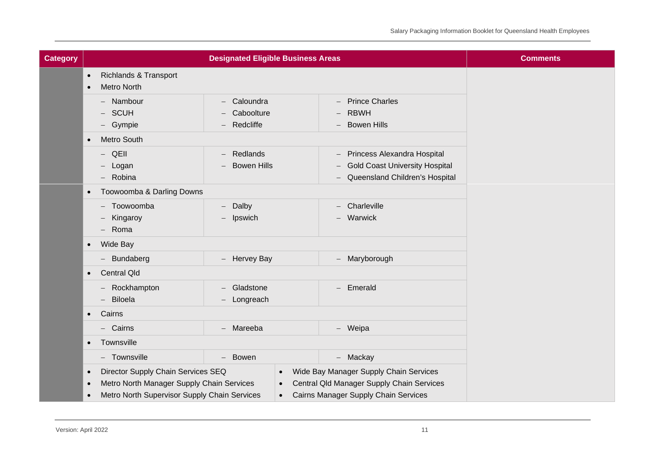| <b>Category</b> |                                                                                                                                                                        | <b>Designated Eligible Business Areas</b>    |                                                                                                                             | <b>Comments</b> |
|-----------------|------------------------------------------------------------------------------------------------------------------------------------------------------------------------|----------------------------------------------|-----------------------------------------------------------------------------------------------------------------------------|-----------------|
|                 | <b>Richlands &amp; Transport</b><br>$\bullet$<br><b>Metro North</b><br>$\bullet$                                                                                       |                                              |                                                                                                                             |                 |
|                 | - Nambour<br><b>SCUH</b><br>- Gympie                                                                                                                                   | - Caloundra<br>Caboolture<br>Redcliffe       | - Prince Charles<br><b>RBWH</b><br>- Bowen Hills                                                                            |                 |
|                 | Metro South<br>$\bullet$                                                                                                                                               |                                              |                                                                                                                             |                 |
|                 | QEII<br>$\overline{\phantom{m}}$<br>Logan<br>- Robina                                                                                                                  | Redlands<br><b>Bowen Hills</b>               | - Princess Alexandra Hospital<br><b>Gold Coast University Hospital</b><br>Queensland Children's Hospital<br>$-$             |                 |
|                 | Toowoomba & Darling Downs<br>$\bullet$                                                                                                                                 |                                              |                                                                                                                             |                 |
|                 | Toowoomba<br>Kingaroy<br>Roma<br>$-$                                                                                                                                   | Dalby<br>$\overline{\phantom{0}}$<br>Ipswich | $-$ Charleville<br>Warwick<br>$-$                                                                                           |                 |
|                 | Wide Bay<br>$\bullet$                                                                                                                                                  |                                              |                                                                                                                             |                 |
|                 | - Bundaberg                                                                                                                                                            | - Hervey Bay                                 | - Maryborough                                                                                                               |                 |
|                 | <b>Central Qld</b><br>$\bullet$                                                                                                                                        |                                              |                                                                                                                             |                 |
|                 | - Rockhampton<br>- Biloela                                                                                                                                             | Gladstone<br>Longreach                       | - Emerald                                                                                                                   |                 |
|                 | Cairns<br>$\bullet$                                                                                                                                                    |                                              |                                                                                                                             |                 |
|                 | - Cairns                                                                                                                                                               | - Mareeba                                    | - Weipa                                                                                                                     |                 |
|                 | Townsville<br>$\bullet$                                                                                                                                                |                                              |                                                                                                                             |                 |
|                 | - Townsville                                                                                                                                                           | - Bowen                                      | - Mackay                                                                                                                    |                 |
|                 | Director Supply Chain Services SEQ<br>$\bullet$<br>Metro North Manager Supply Chain Services<br>$\bullet$<br>Metro North Supervisor Supply Chain Services<br>$\bullet$ | $\bullet$<br>$\bullet$<br>$\bullet$          | Wide Bay Manager Supply Chain Services<br>Central Qld Manager Supply Chain Services<br>Cairns Manager Supply Chain Services |                 |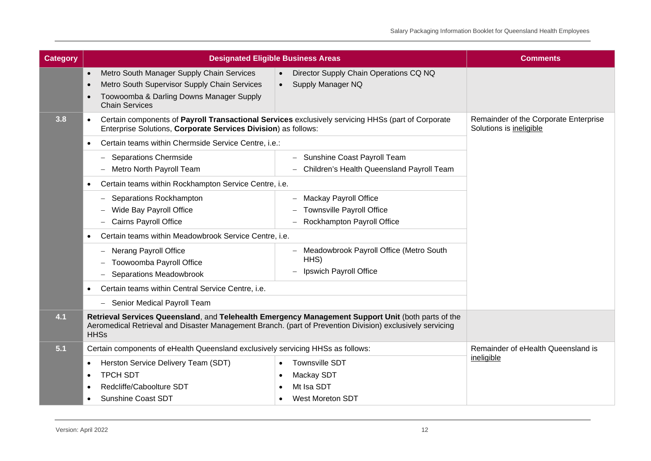| <b>Category</b> | <b>Designated Eligible Business Areas</b>                                                                                                                                                                                      | <b>Comments</b>                                             |                                                                  |
|-----------------|--------------------------------------------------------------------------------------------------------------------------------------------------------------------------------------------------------------------------------|-------------------------------------------------------------|------------------------------------------------------------------|
|                 | Metro South Manager Supply Chain Services<br>$\bullet$<br>Metro South Supervisor Supply Chain Services<br>Toowoomba & Darling Downs Manager Supply<br><b>Chain Services</b>                                                    | Director Supply Chain Operations CQ NQ<br>Supply Manager NQ |                                                                  |
| 3.8             | Certain components of Payroll Transactional Services exclusively servicing HHSs (part of Corporate<br>$\bullet$<br>Enterprise Solutions, Corporate Services Division) as follows:                                              |                                                             | Remainder of the Corporate Enterprise<br>Solutions is ineligible |
|                 | Certain teams within Chermside Service Centre, i.e.:                                                                                                                                                                           |                                                             |                                                                  |
|                 | <b>Separations Chermside</b>                                                                                                                                                                                                   | - Sunshine Coast Payroll Team                               |                                                                  |
|                 | Metro North Payroll Team                                                                                                                                                                                                       | Children's Health Queensland Payroll Team                   |                                                                  |
|                 | Certain teams within Rockhampton Service Centre, i.e.                                                                                                                                                                          |                                                             |                                                                  |
|                 | Separations Rockhampton                                                                                                                                                                                                        | - Mackay Payroll Office                                     |                                                                  |
|                 | Wide Bay Payroll Office                                                                                                                                                                                                        | <b>Townsville Payroll Office</b>                            |                                                                  |
|                 | <b>Cairns Payroll Office</b>                                                                                                                                                                                                   | Rockhampton Payroll Office                                  |                                                                  |
|                 | Certain teams within Meadowbrook Service Centre, i.e.                                                                                                                                                                          |                                                             |                                                                  |
|                 | <b>Nerang Payroll Office</b>                                                                                                                                                                                                   | - Meadowbrook Payroll Office (Metro South                   |                                                                  |
|                 | Toowoomba Payroll Office                                                                                                                                                                                                       | HHS)                                                        |                                                                  |
|                 | <b>Separations Meadowbrook</b>                                                                                                                                                                                                 | Ipswich Payroll Office                                      |                                                                  |
|                 | Certain teams within Central Service Centre, i.e.                                                                                                                                                                              |                                                             |                                                                  |
|                 | Senior Medical Payroll Team<br>$\overline{\phantom{0}}$                                                                                                                                                                        |                                                             |                                                                  |
| 4.1             | Retrieval Services Queensland, and Telehealth Emergency Management Support Unit (both parts of the<br>Aeromedical Retrieval and Disaster Management Branch. (part of Prevention Division) exclusively servicing<br><b>HHSs</b> |                                                             |                                                                  |
| 5.1             | Certain components of eHealth Queensland exclusively servicing HHSs as follows:                                                                                                                                                |                                                             | Remainder of eHealth Queensland is                               |
|                 | Herston Service Delivery Team (SDT)<br>٠                                                                                                                                                                                       | <b>Townsville SDT</b>                                       | ineligible                                                       |
|                 | <b>TPCH SDT</b>                                                                                                                                                                                                                | Mackay SDT                                                  |                                                                  |
|                 | Redcliffe/Caboolture SDT                                                                                                                                                                                                       | Mt Isa SDT                                                  |                                                                  |
|                 | <b>Sunshine Coast SDT</b>                                                                                                                                                                                                      | <b>West Moreton SDT</b>                                     |                                                                  |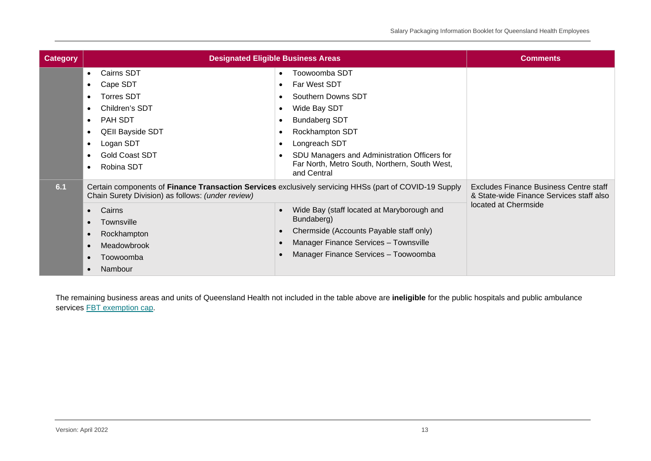| <b>Category</b> | <b>Designated Eligible Business Areas</b>                                                                                                                                                                                                    | <b>Comments</b>                                                                                                                                                                                                                                                                                             |                                                                                                                   |
|-----------------|----------------------------------------------------------------------------------------------------------------------------------------------------------------------------------------------------------------------------------------------|-------------------------------------------------------------------------------------------------------------------------------------------------------------------------------------------------------------------------------------------------------------------------------------------------------------|-------------------------------------------------------------------------------------------------------------------|
|                 | Cairns SDT<br>$\bullet$<br>Cape SDT<br><b>Torres SDT</b><br>$\bullet$<br>Children's SDT<br>$\bullet$<br><b>PAH SDT</b><br>$\bullet$<br><b>QEII Bayside SDT</b><br>$\bullet$<br>Logan SDT<br>$\bullet$<br><b>Gold Coast SDT</b><br>Robina SDT | Toowoomba SDT<br>$\bullet$<br>Far West SDT<br>$\bullet$<br>Southern Downs SDT<br>Wide Bay SDT<br><b>Bundaberg SDT</b><br><b>Rockhampton SDT</b><br>Longreach SDT<br>SDU Managers and Administration Officers for<br>Far North, Metro South, Northern, South West,<br>and Central                            |                                                                                                                   |
| 6.1             | Chain Surety Division) as follows: (under review)<br>Cairns<br>$\bullet$<br>Townsville<br>$\bullet$<br>Rockhampton<br>$\bullet$<br>Meadowbrook<br>$\bullet$<br>Toowoomba<br>$\bullet$<br>Nambour<br>$\bullet$                                | Certain components of Finance Transaction Services exclusively servicing HHSs (part of COVID-19 Supply<br>Wide Bay (staff located at Maryborough and<br>Bundaberg)<br>Chermside (Accounts Payable staff only)<br>$\bullet$<br>Manager Finance Services - Townsville<br>Manager Finance Services - Toowoomba | <b>Excludes Finance Business Centre staff</b><br>& State-wide Finance Services staff also<br>located at Chermside |

The remaining business areas and units of Queensland Health not included in the table above are **ineligible** for the public hospitals and public ambulance services **FBT** exemption cap.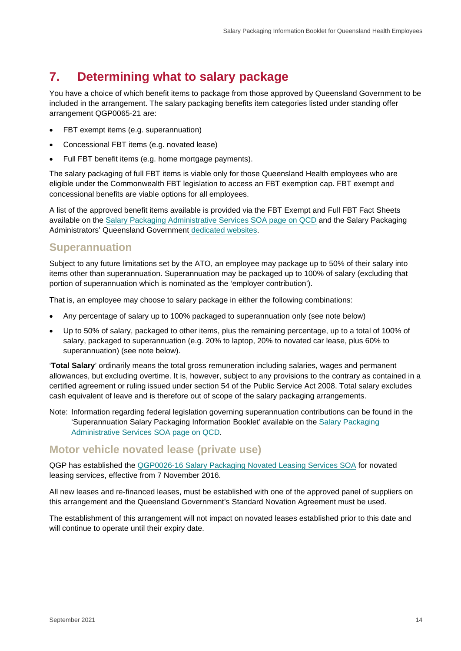## <span id="page-13-0"></span>**7. Determining what to salary package**

You have a choice of which benefit items to package from those approved by Queensland Government to be included in the arrangement. The salary packaging benefits item categories listed under standing offer arrangement QGP0065-21 are:

- FBT exempt items (e.g. superannuation)
- Concessional FBT items (e.g. novated lease)
- Full FBT benefit items (e.g. home mortgage payments).

The salary packaging of full FBT items is viable only for those Queensland Health employees who are eligible under the Commonwealth FBT legislation to access an FBT exemption cap. FBT exempt and concessional benefits are viable options for all employees.

A list of the approved benefit items available is provided via the FBT Exempt and Full FBT Fact Sheets available on the [Salary Packaging Administrative Services SOA page on QCD](http://qcd.govnet.qld.gov.au/Pages/Details.aspx?RecID=2189) and the Salary Packaging Administrators' Queensland Government [dedicated websites.](#page-2-4)

#### <span id="page-13-1"></span>**Superannuation**

Subject to any future limitations set by the ATO, an employee may package up to 50% of their salary into items other than superannuation. Superannuation may be packaged up to 100% of salary (excluding that portion of superannuation which is nominated as the 'employer contribution').

That is, an employee may choose to salary package in either the following combinations:

- Any percentage of salary up to 100% packaged to superannuation only (see note below)
- Up to 50% of salary, packaged to other items, plus the remaining percentage, up to a total of 100% of salary, packaged to superannuation (e.g. 20% to laptop, 20% to novated car lease, plus 60% to superannuation) (see note below).

'**Total Salary**' ordinarily means the total gross remuneration including salaries, wages and permanent allowances, but excluding overtime. It is, however, subject to any provisions to the contrary as contained in a certified agreement or ruling issued under section 54 of the Public Service Act 2008. Total salary excludes cash equivalent of leave and is therefore out of scope of the salary packaging arrangements.

Note: Information regarding federal legislation governing superannuation contributions can be found in the 'Superannuation Salary Packaging Information Booklet' available on the [Salary Packaging](http://qcd.govnet.qld.gov.au/Pages/Details.aspx?RecID=2189)  [Administrative Services SOA page on QCD.](http://qcd.govnet.qld.gov.au/Pages/Details.aspx?RecID=2189)

#### <span id="page-13-2"></span>**Motor vehicle novated lease (private use)**

QGP has established the [QGP0026-16 Salary Packaging Novated Leasing Services SOA](http://qcd.govnet.qld.gov.au/Pages/Details.aspx?RecID=1753) for novated leasing services, effective from 7 November 2016.

All new leases and re-financed leases, must be established with one of the approved panel of suppliers on this arrangement and the Queensland Government's Standard Novation Agreement must be used.

The establishment of this arrangement will not impact on novated leases established prior to this date and will continue to operate until their expiry date.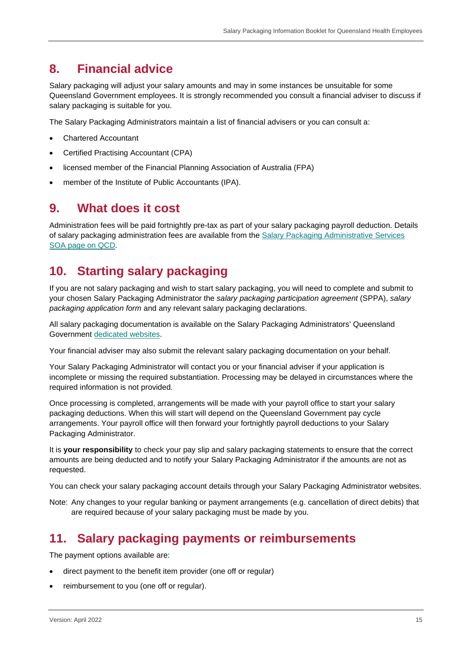### <span id="page-14-0"></span>**8. Financial advice**

Salary packaging will adjust your salary amounts and may in some instances be unsuitable for some Queensland Government employees. It is strongly recommended you consult a financial adviser to discuss if salary packaging is suitable for you.

The Salary Packaging Administrators maintain a list of financial advisers or you can consult a:

- Chartered Accountant
- Certified Practising Accountant (CPA)
- licensed member of the Financial Planning Association of Australia (FPA)
- member of the Institute of Public Accountants (IPA).

#### <span id="page-14-1"></span>**9. What does it cost**

Administration fees will be paid fortnightly pre-tax as part of your salary packaging payroll deduction. Details of salary packaging administration fees are available from the [Salary Packaging Administrative Services](http://qcd.govnet.qld.gov.au/Pages/Details.aspx?RecID=2189)  [SOA page on QCD.](http://qcd.govnet.qld.gov.au/Pages/Details.aspx?RecID=2189)

### <span id="page-14-2"></span>**10. Starting salary packaging**

If you are not salary packaging and wish to start salary packaging, you will need to complete and submit to your chosen Salary Packaging Administrator the *salary packaging participation agreement* (SPPA), *salary packaging application form* and any relevant salary packaging declarations.

All salary packaging documentation is available on the Salary Packaging Administrators' Queensland Government [dedicated websites.](#page-2-4)

Your financial adviser may also submit the relevant salary packaging documentation on your behalf.

Your Salary Packaging Administrator will contact you or your financial adviser if your application is incomplete or missing the required substantiation. Processing may be delayed in circumstances where the required information is not provided.

Once processing is completed, arrangements will be made with your payroll office to start your salary packaging deductions. When this will start will depend on the Queensland Government pay cycle arrangements. Your payroll office will then forward your fortnightly payroll deductions to your Salary Packaging Administrator.

It is **your responsibility** to check your pay slip and salary packaging statements to ensure that the correct amounts are being deducted and to notify your Salary Packaging Administrator if the amounts are not as requested.

You can check your salary packaging account details through your Salary Packaging Administrator websites.

Note: Any changes to your regular banking or payment arrangements (e.g. cancellation of direct debits) that are required because of your salary packaging must be made by you.

### <span id="page-14-3"></span>**11. Salary packaging payments or reimbursements**

The payment options available are:

- direct payment to the benefit item provider (one off or regular)
- reimbursement to you (one off or regular).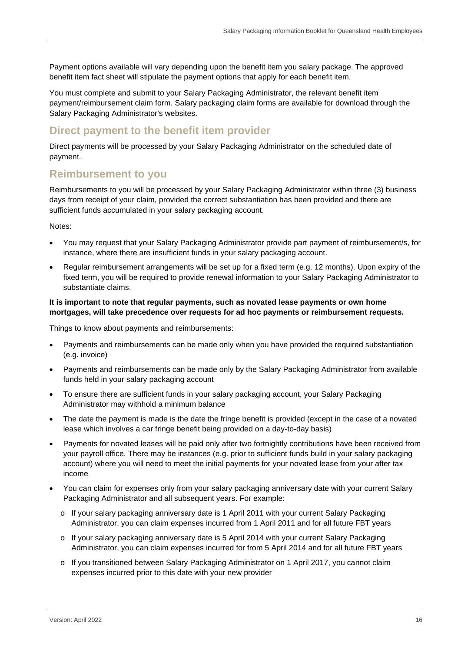Payment options available will vary depending upon the benefit item you salary package. The approved benefit item fact sheet will stipulate the payment options that apply for each benefit item.

You must complete and submit to your Salary Packaging Administrator, the relevant benefit item payment/reimbursement claim form. Salary packaging claim forms are available for download through the Salary Packaging Administrator's websites.

#### <span id="page-15-0"></span>**Direct payment to the benefit item provider**

Direct payments will be processed by your Salary Packaging Administrator on the scheduled date of payment.

#### <span id="page-15-1"></span>**Reimbursement to you**

Reimbursements to you will be processed by your Salary Packaging Administrator within three (3) business days from receipt of your claim, provided the correct substantiation has been provided and there are sufficient funds accumulated in your salary packaging account.

Notes:

- You may request that your Salary Packaging Administrator provide part payment of reimbursement/s, for instance, where there are insufficient funds in your salary packaging account.
- Regular reimbursement arrangements will be set up for a fixed term (e.g. 12 months). Upon expiry of the fixed term, you will be required to provide renewal information to your Salary Packaging Administrator to substantiate claims.

#### **It is important to note that regular payments, such as novated lease payments or own home mortgages, will take precedence over requests for ad hoc payments or reimbursement requests.**

Things to know about payments and reimbursements:

- Payments and reimbursements can be made only when you have provided the required substantiation (e.g. invoice)
- Payments and reimbursements can be made only by the Salary Packaging Administrator from available funds held in your salary packaging account
- To ensure there are sufficient funds in your salary packaging account, your Salary Packaging Administrator may withhold a minimum balance
- The date the payment is made is the date the fringe benefit is provided (except in the case of a novated lease which involves a car fringe benefit being provided on a day-to-day basis)
- Payments for novated leases will be paid only after two fortnightly contributions have been received from your payroll office. There may be instances (e.g. prior to sufficient funds build in your salary packaging account) where you will need to meet the initial payments for your novated lease from your after tax income
- You can claim for expenses only from your salary packaging anniversary date with your current Salary Packaging Administrator and all subsequent years. For example:
	- o If your salary packaging anniversary date is 1 April 2011 with your current Salary Packaging Administrator, you can claim expenses incurred from 1 April 2011 and for all future FBT years
	- $\circ$  If your salary packaging anniversary date is 5 April 2014 with your current Salary Packaging Administrator, you can claim expenses incurred for from 5 April 2014 and for all future FBT years
	- o If you transitioned between Salary Packaging Administrator on 1 April 2017, you cannot claim expenses incurred prior to this date with your new provider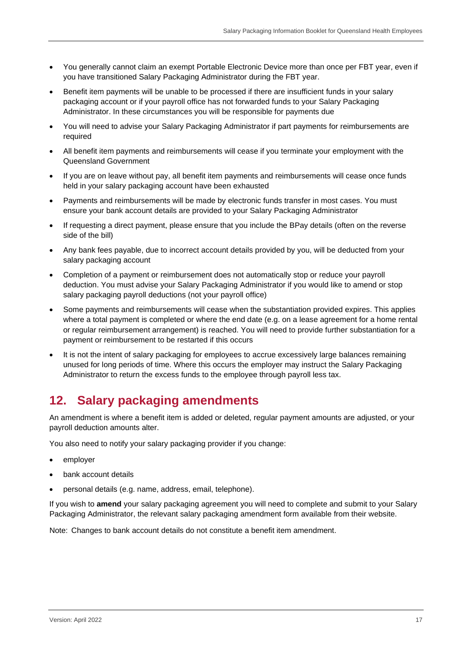- You generally cannot claim an exempt Portable Electronic Device more than once per FBT year, even if you have transitioned Salary Packaging Administrator during the FBT year.
- Benefit item payments will be unable to be processed if there are insufficient funds in your salary packaging account or if your payroll office has not forwarded funds to your Salary Packaging Administrator. In these circumstances you will be responsible for payments due
- You will need to advise your Salary Packaging Administrator if part payments for reimbursements are required
- All benefit item payments and reimbursements will cease if you terminate your employment with the Queensland Government
- If you are on leave without pay, all benefit item payments and reimbursements will cease once funds held in your salary packaging account have been exhausted
- Payments and reimbursements will be made by electronic funds transfer in most cases. You must ensure your bank account details are provided to your Salary Packaging Administrator
- If requesting a direct payment, please ensure that you include the BPay details (often on the reverse side of the bill)
- Any bank fees payable, due to incorrect account details provided by you, will be deducted from your salary packaging account
- Completion of a payment or reimbursement does not automatically stop or reduce your payroll deduction. You must advise your Salary Packaging Administrator if you would like to amend or stop salary packaging payroll deductions (not your payroll office)
- Some payments and reimbursements will cease when the substantiation provided expires. This applies where a total payment is completed or where the end date (e.g. on a lease agreement for a home rental or regular reimbursement arrangement) is reached. You will need to provide further substantiation for a payment or reimbursement to be restarted if this occurs
- It is not the intent of salary packaging for employees to accrue excessively large balances remaining unused for long periods of time. Where this occurs the employer may instruct the Salary Packaging Administrator to return the excess funds to the employee through payroll less tax.

## <span id="page-16-0"></span>**12. Salary packaging amendments**

An amendment is where a benefit item is added or deleted, regular payment amounts are adjusted, or your payroll deduction amounts alter.

You also need to notify your salary packaging provider if you change:

- employer
- bank account details
- personal details (e.g. name, address, email, telephone).

If you wish to **amend** your salary packaging agreement you will need to complete and submit to your Salary Packaging Administrator, the relevant salary packaging amendment form available from their website.

Note: Changes to bank account details do not constitute a benefit item amendment.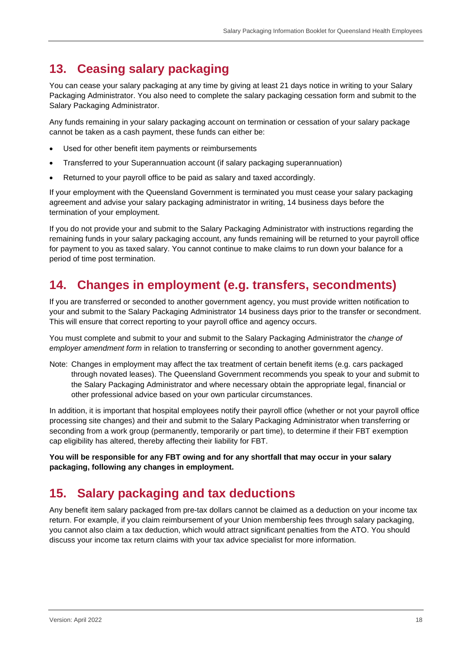### <span id="page-17-0"></span>**13. Ceasing salary packaging**

You can cease your salary packaging at any time by giving at least 21 days notice in writing to your Salary Packaging Administrator. You also need to complete the salary packaging cessation form and submit to the Salary Packaging Administrator.

Any funds remaining in your salary packaging account on termination or cessation of your salary package cannot be taken as a cash payment, these funds can either be:

- Used for other benefit item payments or reimbursements
- Transferred to your Superannuation account (if salary packaging superannuation)
- Returned to your payroll office to be paid as salary and taxed accordingly.

If your employment with the Queensland Government is terminated you must cease your salary packaging agreement and advise your salary packaging administrator in writing, 14 business days before the termination of your employment.

If you do not provide your and submit to the Salary Packaging Administrator with instructions regarding the remaining funds in your salary packaging account, any funds remaining will be returned to your payroll office for payment to you as taxed salary. You cannot continue to make claims to run down your balance for a period of time post termination.

### <span id="page-17-1"></span>**14. Changes in employment (e.g. transfers, secondments)**

If you are transferred or seconded to another government agency, you must provide written notification to your and submit to the Salary Packaging Administrator 14 business days prior to the transfer or secondment. This will ensure that correct reporting to your payroll office and agency occurs.

You must complete and submit to your and submit to the Salary Packaging Administrator the *change of employer amendment form* in relation to transferring or seconding to another government agency.

Note: Changes in employment may affect the tax treatment of certain benefit items (e.g. cars packaged through novated leases). The Queensland Government recommends you speak to your and submit to the Salary Packaging Administrator and where necessary obtain the appropriate legal, financial or other professional advice based on your own particular circumstances.

In addition, it is important that hospital employees notify their payroll office (whether or not your payroll office processing site changes) and their and submit to the Salary Packaging Administrator when transferring or seconding from a work group (permanently, temporarily or part time), to determine if their FBT exemption cap eligibility has altered, thereby affecting their liability for FBT.

**You will be responsible for any FBT owing and for any shortfall that may occur in your salary packaging, following any changes in employment.**

### <span id="page-17-2"></span>**15. Salary packaging and tax deductions**

Any benefit item salary packaged from pre-tax dollars cannot be claimed as a deduction on your income tax return. For example, if you claim reimbursement of your Union membership fees through salary packaging, you cannot also claim a tax deduction, which would attract significant penalties from the ATO. You should discuss your income tax return claims with your tax advice specialist for more information.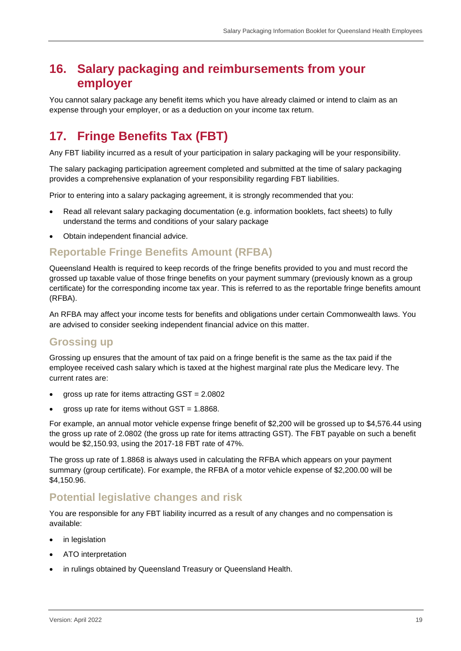### <span id="page-18-0"></span>**16. Salary packaging and reimbursements from your employer**

You cannot salary package any benefit items which you have already claimed or intend to claim as an expense through your employer, or as a deduction on your income tax return.

# <span id="page-18-1"></span>**17. Fringe Benefits Tax (FBT)**

Any FBT liability incurred as a result of your participation in salary packaging will be your responsibility.

The salary packaging participation agreement completed and submitted at the time of salary packaging provides a comprehensive explanation of your responsibility regarding FBT liabilities.

Prior to entering into a salary packaging agreement, it is strongly recommended that you:

- Read all relevant salary packaging documentation (e.g. information booklets, fact sheets) to fully understand the terms and conditions of your salary package
- Obtain independent financial advice.

### <span id="page-18-2"></span>**Reportable Fringe Benefits Amount (RFBA)**

Queensland Health is required to keep records of the fringe benefits provided to you and must record the grossed up taxable value of those fringe benefits on your payment summary (previously known as a group certificate) for the corresponding income tax year. This is referred to as the reportable fringe benefits amount (RFBA).

An RFBA may affect your income tests for benefits and obligations under certain Commonwealth laws. You are advised to consider seeking independent financial advice on this matter.

#### <span id="page-18-3"></span>**Grossing up**

Grossing up ensures that the amount of tax paid on a fringe benefit is the same as the tax paid if the employee received cash salary which is taxed at the highest marginal rate plus the Medicare levy. The current rates are:

- gross up rate for items attracting  $GST = 2.0802$
- gross up rate for items without  $GST = 1.8868$ .

For example, an annual motor vehicle expense fringe benefit of \$2,200 will be grossed up to \$4,576.44 using the gross up rate of 2.0802 (the gross up rate for items attracting GST). The FBT payable on such a benefit would be \$2,150.93, using the 2017-18 FBT rate of 47%.

The gross up rate of 1.8868 is always used in calculating the RFBA which appears on your payment summary (group certificate). For example, the RFBA of a motor vehicle expense of \$2,200.00 will be \$4,150.96.

#### <span id="page-18-4"></span>**Potential legislative changes and risk**

You are responsible for any FBT liability incurred as a result of any changes and no compensation is available:

- in legislation
- ATO interpretation
- in rulings obtained by Queensland Treasury or Queensland Health.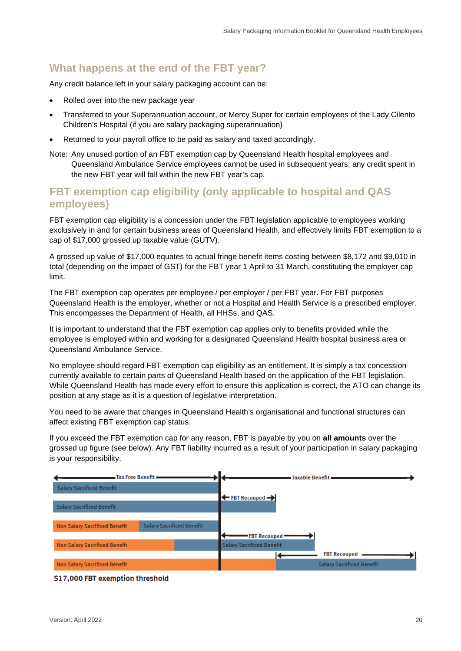### <span id="page-19-0"></span>**What happens at the end of the FBT year?**

Any credit balance left in your salary packaging account can be:

- Rolled over into the new package year
- Transferred to your Superannuation account, or Mercy Super for certain employees of the Lady Cilento Children's Hospital (if you are salary packaging superannuation)
- Returned to your payroll office to be paid as salary and taxed accordingly.
- Note: Any unused portion of an FBT exemption cap by Queensland Health hospital employees and Queensland Ambulance Service employees cannot be used in subsequent years; any credit spent in the new FBT year will fall within the new FBT year's cap.

#### <span id="page-19-1"></span>**FBT exemption cap eligibility (only applicable to hospital and QAS employees)**

FBT exemption cap eligibility is a concession under the FBT legislation applicable to employees working exclusively in and for certain business areas of Queensland Health, and effectively limits FBT exemption to a cap of \$17,000 grossed up taxable value (GUTV).

A grossed up value of \$17,000 equates to actual fringe benefit items costing between \$8,172 and \$9,010 in total (depending on the impact of GST) for the FBT year 1 April to 31 March, constituting the employer cap limit.

The FBT exemption cap operates per employee / per employer / per FBT year. For FBT purposes Queensland Health is the employer, whether or not a Hospital and Health Service is a prescribed employer. This encompasses the Department of Health, all HHSs, and QAS.

It is important to understand that the FBT exemption cap applies only to benefits provided while the employee is employed within and working for a designated Queensland Health hospital business area or Queensland Ambulance Service.

No employee should regard FBT exemption cap eligibility as an entitlement. It is simply a tax concession currently available to certain parts of Queensland Health based on the application of the FBT legislation. While Queensland Health has made every effort to ensure this application is correct, the ATO can change its position at any stage as it is a question of legislative interpretation.

You need to be aware that changes in Queensland Health's organisational and functional structures can affect existing FBT exemption cap status.

If you exceed the FBT exemption cap for any reason, FBT is payable by you on **all amounts** over the grossed up figure (see below). Any FBT liability incurred as a result of your participation in salary packaging is your responsibility.



#### \$17,000 FBT exemption threshold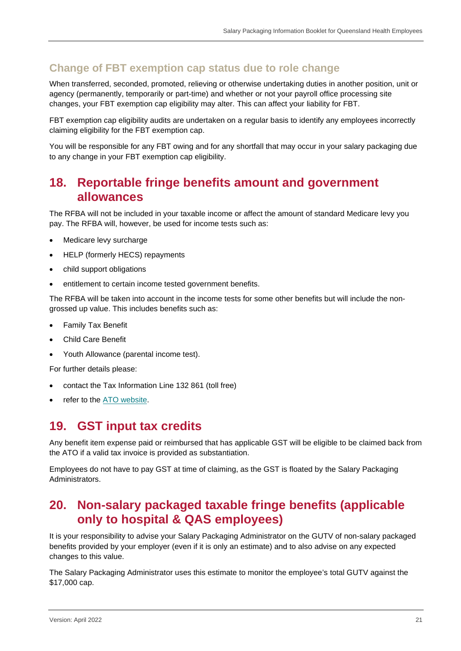### <span id="page-20-0"></span>**Change of FBT exemption cap status due to role change**

When transferred, seconded, promoted, relieving or otherwise undertaking duties in another position, unit or agency (permanently, temporarily or part-time) and whether or not your payroll office processing site changes, your FBT exemption cap eligibility may alter. This can affect your liability for FBT.

FBT exemption cap eligibility audits are undertaken on a regular basis to identify any employees incorrectly claiming eligibility for the FBT exemption cap.

You will be responsible for any FBT owing and for any shortfall that may occur in your salary packaging due to any change in your FBT exemption cap eligibility.

### <span id="page-20-1"></span>**18. Reportable fringe benefits amount and government allowances**

The RFBA will not be included in your taxable income or affect the amount of standard Medicare levy you pay. The RFBA will, however, be used for income tests such as:

- Medicare levy surcharge
- HELP (formerly HECS) repayments
- child support obligations
- entitlement to certain income tested government benefits.

The RFBA will be taken into account in the income tests for some other benefits but will include the nongrossed up value. This includes benefits such as:

- Family Tax Benefit
- Child Care Benefit
- Youth Allowance (parental income test).

For further details please:

- contact the Tax Information Line 132 861 (toll free)
- refer to the **ATO** website.

### <span id="page-20-2"></span>**19. GST input tax credits**

Any benefit item expense paid or reimbursed that has applicable GST will be eligible to be claimed back from the ATO if a valid tax invoice is provided as substantiation.

Employees do not have to pay GST at time of claiming, as the GST is floated by the Salary Packaging Administrators.

### <span id="page-20-3"></span>**20. Non-salary packaged taxable fringe benefits (applicable only to hospital & QAS employees)**

It is your responsibility to advise your Salary Packaging Administrator on the GUTV of non-salary packaged benefits provided by your employer (even if it is only an estimate) and to also advise on any expected changes to this value.

The Salary Packaging Administrator uses this estimate to monitor the employee's total GUTV against the \$17,000 cap.